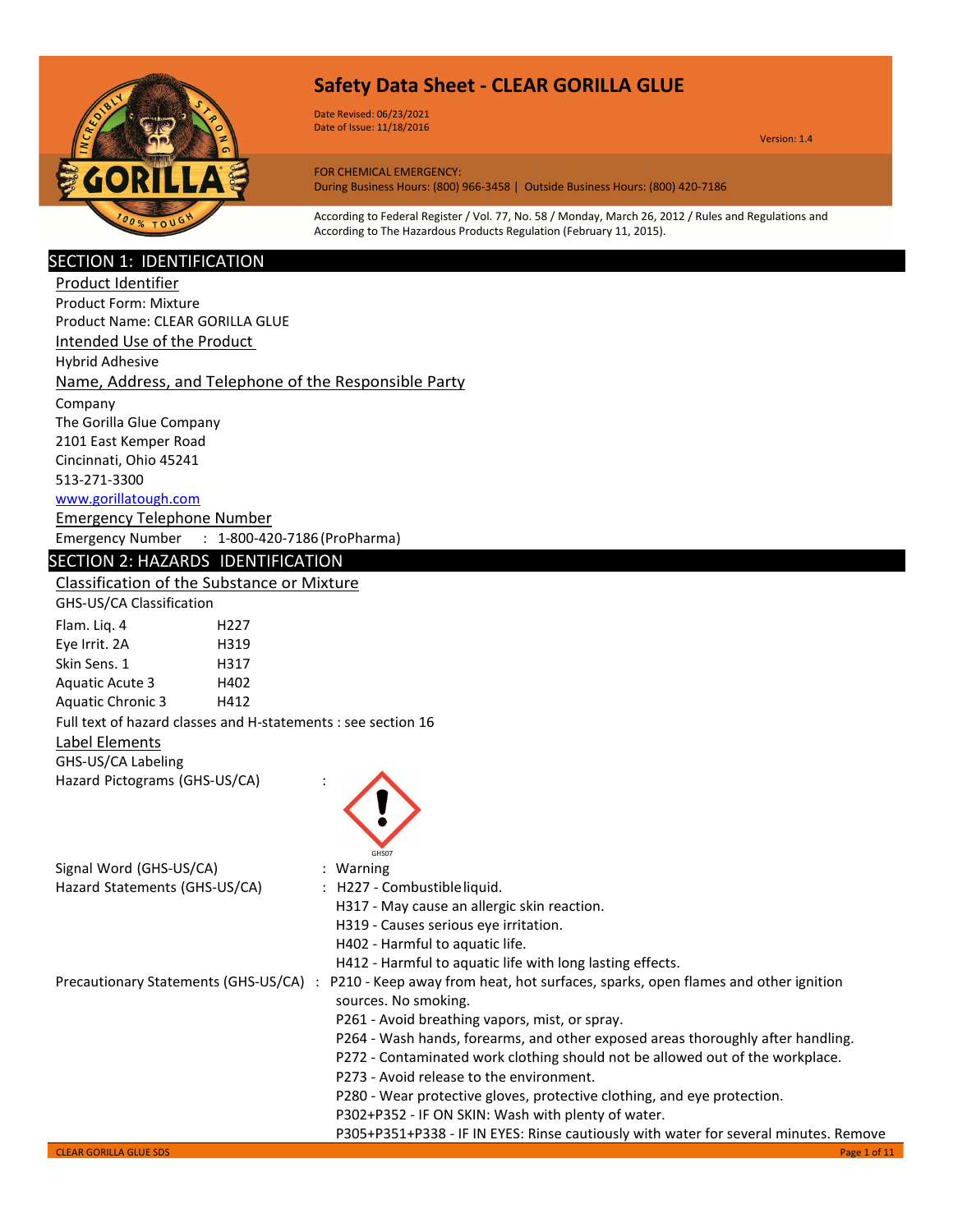

Date Revised: 06/23/2021 Date of Issue: 11/18/2016

Version: 1.4

FOR CHEMICAL EMERGENCY: During Business Hours: (800) 966-3458 | Outside Business Hours: (800) 420-7186

According to Federal Register / Vol. 77, No. 58 / Monday, March 26, 2012 / Rules and Regulations and According to The Hazardous Products Regulation (February 11, 2015).

### SECTION 1: IDENTIFICATION

| Product Identifier                                            |                                                                                      |
|---------------------------------------------------------------|--------------------------------------------------------------------------------------|
| <b>Product Form: Mixture</b>                                  |                                                                                      |
| Product Name: CLEAR GORILLA GLUE                              |                                                                                      |
| Intended Use of the Product                                   |                                                                                      |
| <b>Hybrid Adhesive</b>                                        |                                                                                      |
| Name, Address, and Telephone of the Responsible Party         |                                                                                      |
| Company                                                       |                                                                                      |
| The Gorilla Glue Company                                      |                                                                                      |
| 2101 East Kemper Road                                         |                                                                                      |
| Cincinnati, Ohio 45241                                        |                                                                                      |
| 513-271-3300                                                  |                                                                                      |
| www.gorillatough.com                                          |                                                                                      |
| <b>Emergency Telephone Number</b>                             |                                                                                      |
| Emergency Number : 1-800-420-7186 (ProPharma)                 |                                                                                      |
| SECTION 2: HAZARDS IDENTIFICATION                             |                                                                                      |
| Classification of the Substance or Mixture                    |                                                                                      |
| GHS-US/CA Classification                                      |                                                                                      |
| Flam. Liq. 4<br>H <sub>227</sub>                              |                                                                                      |
| Eye Irrit. 2A<br>H319                                         |                                                                                      |
| Skin Sens. 1<br>H317                                          |                                                                                      |
| <b>Aquatic Acute 3</b><br>H402                                |                                                                                      |
| <b>Aquatic Chronic 3</b><br>H412                              |                                                                                      |
| Full text of hazard classes and H-statements : see section 16 |                                                                                      |
| Label Elements                                                |                                                                                      |
| GHS-US/CA Labeling                                            |                                                                                      |
| Hazard Pictograms (GHS-US/CA)                                 |                                                                                      |
|                                                               |                                                                                      |
|                                                               |                                                                                      |
|                                                               |                                                                                      |
| Signal Word (GHS-US/CA)                                       | GHS07<br>: Warning                                                                   |
| Hazard Statements (GHS-US/CA)                                 | : H227 - Combustible liquid.                                                         |
|                                                               | H317 - May cause an allergic skin reaction.                                          |
|                                                               | H319 - Causes serious eye irritation.                                                |
|                                                               | H402 - Harmful to aquatic life.                                                      |
|                                                               | H412 - Harmful to aquatic life with long lasting effects.                            |
| Precautionary Statements (GHS-US/CA) :                        | P210 - Keep away from heat, hot surfaces, sparks, open flames and other ignition     |
|                                                               | sources. No smoking.                                                                 |
|                                                               | P261 - Avoid breathing vapors, mist, or spray.                                       |
|                                                               | P264 - Wash hands, forearms, and other exposed areas thoroughly after handling.      |
|                                                               | P272 - Contaminated work clothing should not be allowed out of the workplace.        |
|                                                               | P273 - Avoid release to the environment.                                             |
|                                                               | P280 - Wear protective gloves, protective clothing, and eye protection.              |
|                                                               | P302+P352 - IF ON SKIN: Wash with plenty of water.                                   |
|                                                               | P305+P351+P338 - IF IN EYES: Rinse cautiously with water for several minutes. Remove |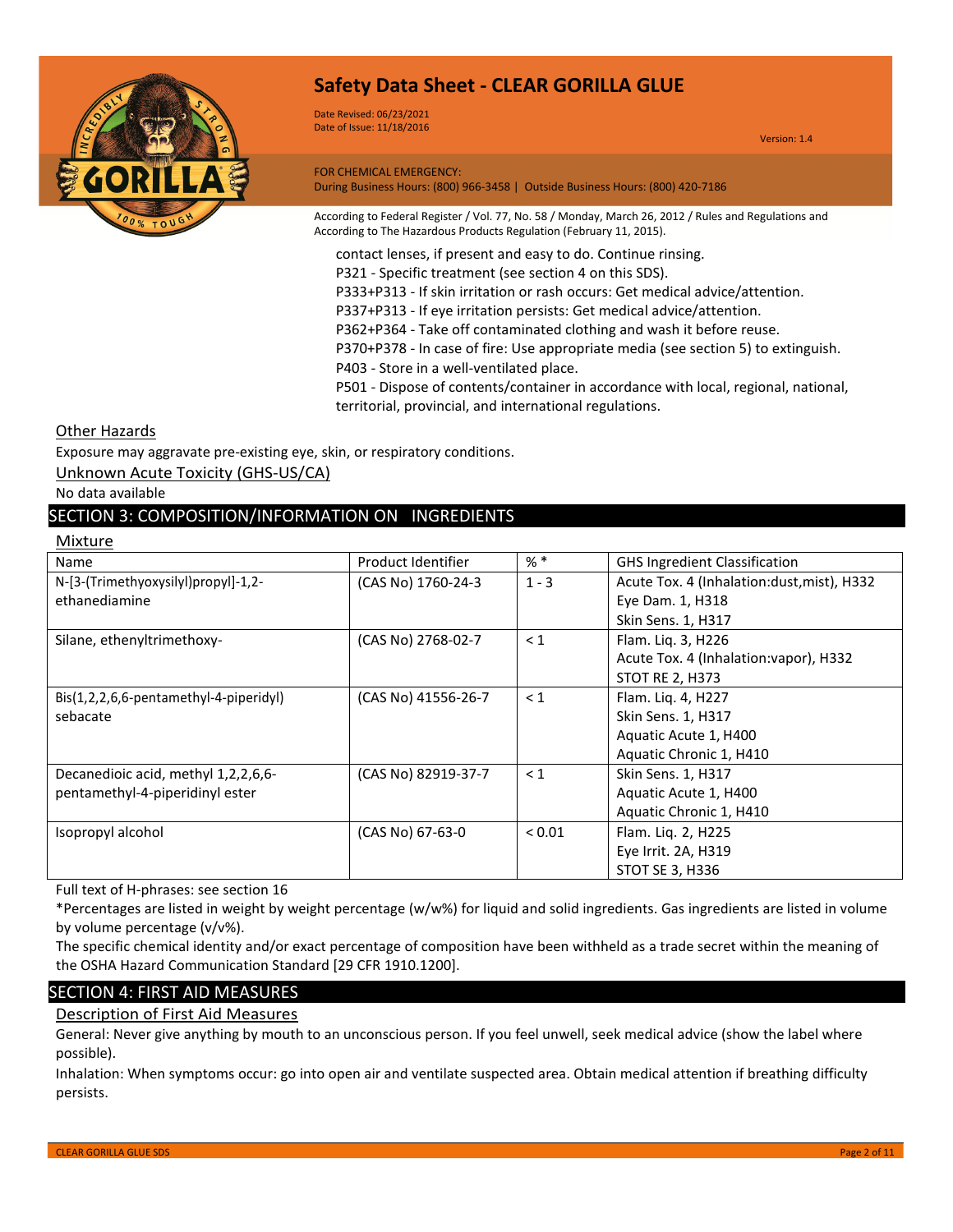

Date Revised: 06/23/2021 Date of Issue: 11/18/2016

Version: 1.4

FOR CHEMICAL EMERGENCY: During Business Hours: (800) 966-3458 | Outside Business Hours: (800) 420-7186

According to Federal Register / Vol. 77, No. 58 / Monday, March 26, 2012 / Rules and Regulations and According to The Hazardous Products Regulation (February 11, 2015).

contact lenses, if present and easy to do. Continue rinsing.

P321 - Specific treatment (see section 4 on this SDS).

P333+P313 - If skin irritation or rash occurs: Get medical advice/attention.

P337+P313 - If eye irritation persists: Get medical advice/attention.

P362+P364 - Take off contaminated clothing and wash it before reuse.

P370+P378 - In case of fire: Use appropriate media (see section 5) to extinguish.

P403 - Store in a well-ventilated place.

P501 - Dispose of contents/container in accordance with local, regional, national, territorial, provincial, and international regulations.

### Other Hazards

Exposure may aggravate pre-existing eye, skin, or respiratory conditions.

Unknown Acute Toxicity (GHS-US/CA)

No data available

### SECTION 3: COMPOSITION/INFORMATION ON INGREDIENTS

| Mixture                                       |                     |             |                                            |
|-----------------------------------------------|---------------------|-------------|--------------------------------------------|
| Name                                          | Product Identifier  | $%$ *       | <b>GHS Ingredient Classification</b>       |
| N-[3-(Trimethyoxysilyl)propyl]-1,2-           | (CAS No) 1760-24-3  | $1 - 3$     | Acute Tox. 4 (Inhalation:dust, mist), H332 |
| ethanediamine                                 |                     |             | Eye Dam. 1, H318                           |
|                                               |                     |             | Skin Sens. 1, H317                         |
| Silane, ethenyltrimethoxy-                    | (CAS No) 2768-02-7  | $\leq 1$    | Flam. Liq. 3, H226                         |
|                                               |                     |             | Acute Tox. 4 (Inhalation: vapor), H332     |
|                                               |                     |             | <b>STOT RE 2, H373</b>                     |
| $ Bis(1, 2, 2, 6, 6-pentamethyl-4-piperidy!)$ | (CAS No) 41556-26-7 | $\leq 1$    | Flam. Liq. 4, H227                         |
| sebacate                                      |                     |             | Skin Sens. 1, H317                         |
|                                               |                     |             | Aquatic Acute 1, H400                      |
|                                               |                     |             | Aquatic Chronic 1, H410                    |
| Decanedioic acid, methyl 1,2,2,6,6-           | (CAS No) 82919-37-7 | $\leq 1$    | Skin Sens. 1, H317                         |
| pentamethyl-4-piperidinyl ester               |                     |             | Aquatic Acute 1, H400                      |
|                                               |                     |             | Aquatic Chronic 1, H410                    |
| Isopropyl alcohol                             | (CAS No) 67-63-0    | ${}_{0.01}$ | Flam. Lig. 2, H225                         |
|                                               |                     |             | Eye Irrit. 2A, H319                        |
|                                               |                     |             | <b>STOT SE 3, H336</b>                     |

Full text of H-phrases: see section 16

\*Percentages are listed in weight by weight percentage (w/w%) for liquid and solid ingredients. Gas ingredients are listed in volume by volume percentage (v/v%).

The specific chemical identity and/or exact percentage of composition have been withheld as a trade secret within the meaning of the OSHA Hazard Communication Standard [29 CFR 1910.1200].

### SECTION 4: FIRST AID MEASURES

### Description of First Aid Measures

General: Never give anything by mouth to an unconscious person. If you feel unwell, seek medical advice (show the label where possible).

Inhalation: When symptoms occur: go into open air and ventilate suspected area. Obtain medical attention if breathing difficulty persists.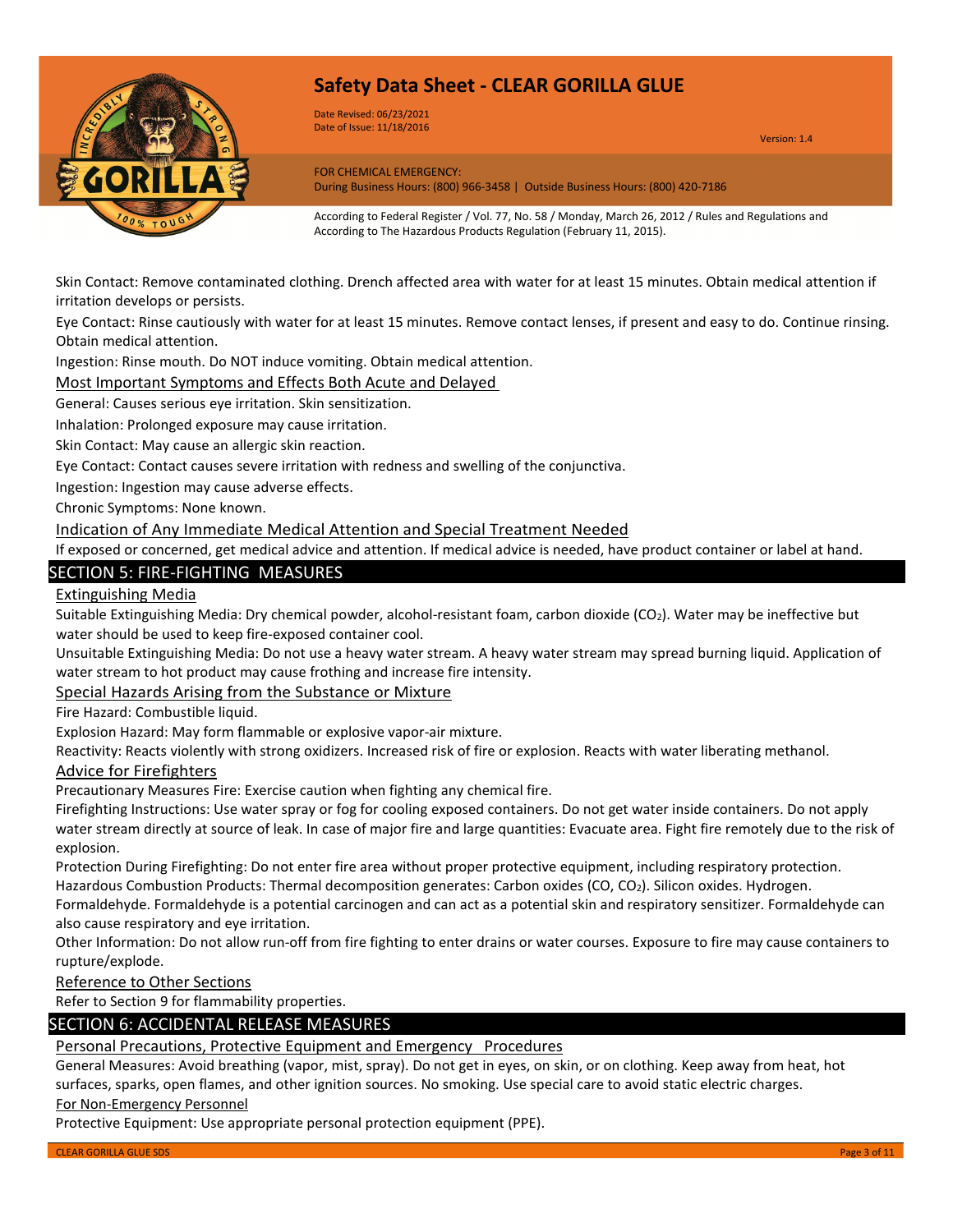

Date Revised: 06/23/2021 Date of Issue: 11/18/2016

Version: 1.4

FOR CHEMICAL EMERGENCY: During Business Hours: (800) 966-3458 | Outside Business Hours: (800) 420-7186

According to Federal Register / Vol. 77, No. 58 / Monday, March 26, 2012 / Rules and Regulations and According to The Hazardous Products Regulation (February 11, 2015).

Skin Contact: Remove contaminated clothing. Drench affected area with water for at least 15 minutes. Obtain medical attention if irritation develops or persists.

Eye Contact: Rinse cautiously with water for at least 15 minutes. Remove contact lenses, if present and easy to do. Continue rinsing. Obtain medical attention.

Ingestion: Rinse mouth. Do NOT induce vomiting. Obtain medical attention.

Most Important Symptoms and Effects Both Acute and Delayed

General: Causes serious eye irritation. Skin sensitization.

Inhalation: Prolonged exposure may cause irritation.

Skin Contact: May cause an allergic skin reaction.

Eye Contact: Contact causes severe irritation with redness and swelling of the conjunctiva.

Ingestion: Ingestion may cause adverse effects.

Chronic Symptoms: None known.

Indication of Any Immediate Medical Attention and Special Treatment Needed

If exposed or concerned, get medical advice and attention. If medical advice is needed, have product container or label at hand.

### SECTION 5: FIRE-FIGHTING MEASURES

#### Extinguishing Media

Suitable Extinguishing Media: Dry chemical powder, alcohol-resistant foam, carbon dioxide (CO2). Water may be ineffective but water should be used to keep fire-exposed container cool.

Unsuitable Extinguishing Media: Do not use a heavy water stream. A heavy water stream may spread burning liquid. Application of water stream to hot product may cause frothing and increase fire intensity.

Special Hazards Arising from the Substance or Mixture

Fire Hazard: Combustible liquid.

Explosion Hazard: May form flammable or explosive vapor-air mixture.

Reactivity: Reacts violently with strong oxidizers. Increased risk of fire or explosion. Reacts with water liberating methanol.

#### Advice for Firefighters

Precautionary Measures Fire: Exercise caution when fighting any chemical fire.

Firefighting Instructions: Use water spray or fog for cooling exposed containers. Do not get water inside containers. Do not apply water stream directly at source of leak. In case of major fire and large quantities: Evacuate area. Fight fire remotely due to the risk of explosion.

Protection During Firefighting: Do not enter fire area without proper protective equipment, including respiratory protection. Hazardous Combustion Products: Thermal decomposition generates: Carbon oxides (CO, CO2). Silicon oxides. Hydrogen.

Formaldehyde. Formaldehyde is a potential carcinogen and can act as a potential skin and respiratory sensitizer. Formaldehyde can also cause respiratory and eye irritation.

Other Information: Do not allow run-off from fire fighting to enter drains or water courses. Exposure to fire may cause containers to rupture/explode.

Reference to Other Sections

Refer to Section 9 for flammability properties.

### SECTION 6: ACCIDENTAL RELEASE MEASURES

### Personal Precautions, Protective Equipment and Emergency Procedures

General Measures: Avoid breathing (vapor, mist, spray). Do not get in eyes, on skin, or on clothing. Keep away from heat, hot surfaces, sparks, open flames, and other ignition sources. No smoking. Use special care to avoid static electric charges.

#### For Non-Emergency Personnel

Protective Equipment: Use appropriate personal protection equipment (PPE).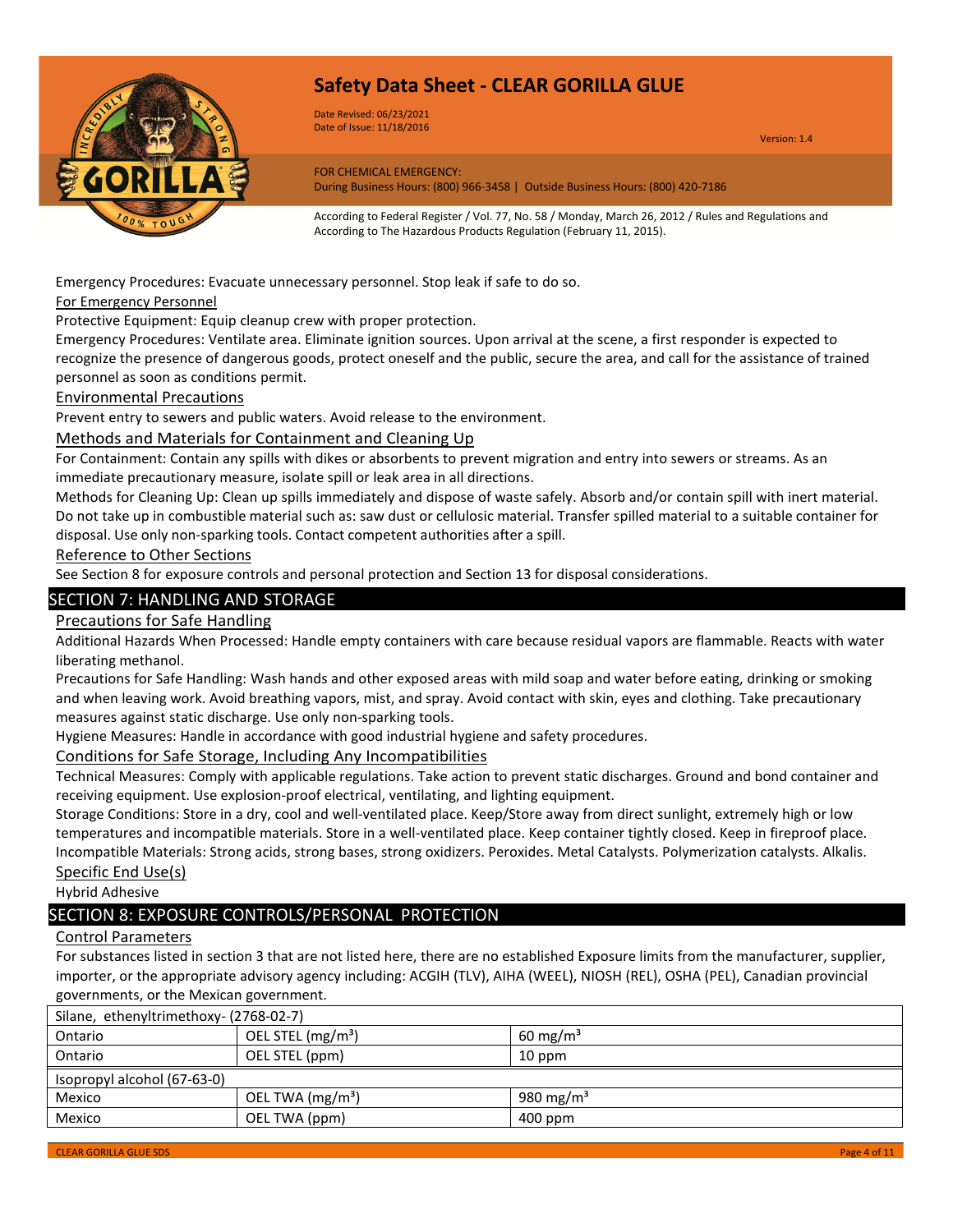

Date Revised: 06/23/2021 Date of Issue: 11/18/2016

Version: 1.4

FOR CHEMICAL EMERGENCY: During Business Hours: (800) 966-3458 | Outside Business Hours: (800) 420-7186

According to Federal Register / Vol. 77, No. 58 / Monday, March 26, 2012 / Rules and Regulations and According to The Hazardous Products Regulation (February 11, 2015).

Emergency Procedures: Evacuate unnecessary personnel. Stop leak if safe to do so.

For Emergency Personnel

Protective Equipment: Equip cleanup crew with proper protection.

Emergency Procedures: Ventilate area. Eliminate ignition sources. Upon arrival at the scene, a first responder is expected to recognize the presence of dangerous goods, protect oneself and the public, secure the area, and call for the assistance of trained personnel as soon as conditions permit.

### Environmental Precautions

Prevent entry to sewers and public waters. Avoid release to the environment.

Methods and Materials for Containment and Cleaning Up

For Containment: Contain any spills with dikes or absorbents to prevent migration and entry into sewers or streams. As an immediate precautionary measure, isolate spill or leak area in all directions.

Methods for Cleaning Up: Clean up spills immediately and dispose of waste safely. Absorb and/or contain spill with inert material. Do not take up in combustible material such as: saw dust or cellulosic material. Transfer spilled material to a suitable container for disposal. Use only non-sparking tools. Contact competent authorities after a spill.

Reference to Other Sections

See Section 8 for exposure controls and personal protection and Section 13 for disposal considerations.

### SECTION 7: HANDLING AND STORAGE

Precautions for Safe Handling

Additional Hazards When Processed: Handle empty containers with care because residual vapors are flammable. Reacts with water liberating methanol.

Precautions for Safe Handling: Wash hands and other exposed areas with mild soap and water before eating, drinking or smoking and when leaving work. Avoid breathing vapors, mist, and spray. Avoid contact with skin, eyes and clothing. Take precautionary measures against static discharge. Use only non-sparking tools.

Hygiene Measures: Handle in accordance with good industrial hygiene and safety procedures.

Conditions for Safe Storage, Including Any Incompatibilities

Technical Measures: Comply with applicable regulations. Take action to prevent static discharges. Ground and bond container and receiving equipment. Use explosion-proof electrical, ventilating, and lighting equipment.

Storage Conditions: Store in a dry, cool and well-ventilated place. Keep/Store away from direct sunlight, extremely high or low temperatures and incompatible materials. Store in a well-ventilated place. Keep container tightly closed. Keep in fireproof place. Incompatible Materials: Strong acids, strong bases, strong oxidizers. Peroxides. Metal Catalysts. Polymerization catalysts. Alkalis. Specific End Use(s)

Hybrid Adhesive

### SECTION 8: EXPOSURE CONTROLS/PERSONAL PROTECTION

### Control Parameters

For substances listed in section 3 that are not listed here, there are no established Exposure limits from the manufacturer, supplier, importer, or the appropriate advisory agency including: ACGIH (TLV), AIHA (WEEL), NIOSH (REL), OSHA (PEL), Canadian provincial governments, or the Mexican government.

| Silane, ethenyltrimethoxy- (2768-02-7) |                               |                     |
|----------------------------------------|-------------------------------|---------------------|
| Ontario                                | OEL STEL (mg/m <sup>3</sup> ) | $60 \text{ mg/m}^3$ |
| Ontario                                | OEL STEL (ppm)                | 10 ppm              |
| Isopropyl alcohol (67-63-0)            |                               |                     |
| Mexico                                 | OEL TWA $(mg/m3)$             | 980 mg/m $3$        |
| Mexico                                 | OEL TWA (ppm)                 | 400 ppm             |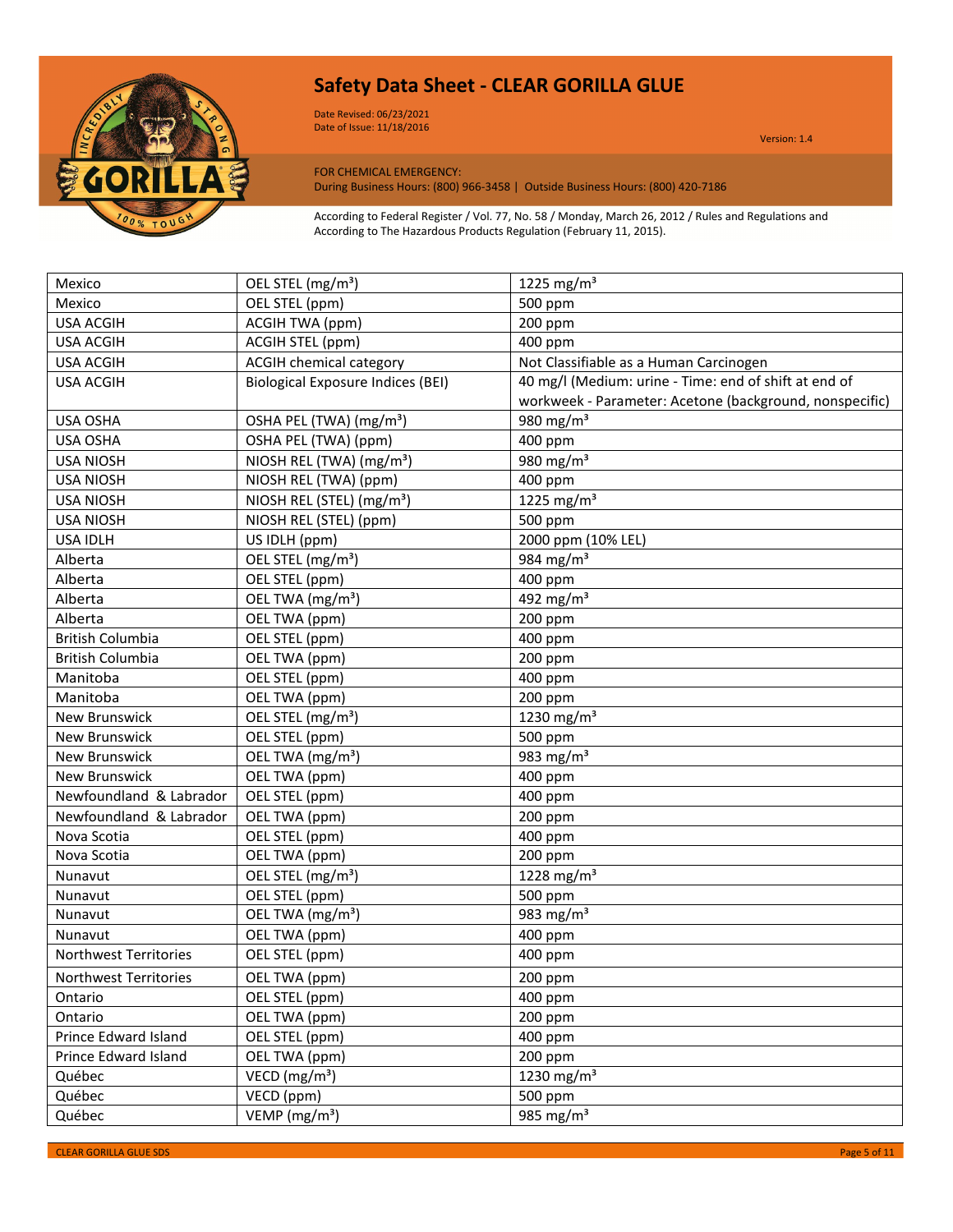

Date Revised: 06/23/2021 Date of Issue: 11/18/2016

Version: 1.4

FOR CHEMICAL EMERGENCY:

During Business Hours: (800) 966-3458 | Outside Business Hours: (800) 420-7186

According to Federal Register / Vol. 77, No. 58 / Monday, March 26, 2012 / Rules and Regulations and According to The Hazardous Products Regulation (February 11, 2015).

| Mexico                  | OEL STEL (mg/m <sup>3</sup> )            | 1225 mg/m <sup>3</sup>                                  |
|-------------------------|------------------------------------------|---------------------------------------------------------|
| Mexico                  | OEL STEL (ppm)                           | 500 ppm                                                 |
| <b>USA ACGIH</b>        | ACGIH TWA (ppm)                          | 200 ppm                                                 |
| <b>USA ACGIH</b>        | ACGIH STEL (ppm)                         | 400 ppm                                                 |
| <b>USA ACGIH</b>        | <b>ACGIH chemical category</b>           | Not Classifiable as a Human Carcinogen                  |
| <b>USA ACGIH</b>        | <b>Biological Exposure Indices (BEI)</b> | 40 mg/l (Medium: urine - Time: end of shift at end of   |
|                         |                                          | workweek - Parameter: Acetone (background, nonspecific) |
| USA OSHA                | OSHA PEL (TWA) (mg/m <sup>3</sup> )      | 980 mg/m $3$                                            |
| <b>USA OSHA</b>         | OSHA PEL (TWA) (ppm)                     | 400 ppm                                                 |
| <b>USA NIOSH</b>        | NIOSH REL (TWA) (mg/m <sup>3</sup> )     | 980 mg/m $3$                                            |
| <b>USA NIOSH</b>        | NIOSH REL (TWA) (ppm)                    | 400 ppm                                                 |
| <b>USA NIOSH</b>        | NIOSH REL (STEL) (mg/m <sup>3</sup> )    | 1225 mg/m <sup>3</sup>                                  |
| <b>USA NIOSH</b>        | NIOSH REL (STEL) (ppm)                   | 500 ppm                                                 |
| USA IDLH                | US IDLH (ppm)                            | 2000 ppm (10% LEL)                                      |
| Alberta                 | OEL STEL (mg/m <sup>3</sup> )            | 984 mg/m <sup>3</sup>                                   |
| Alberta                 | OEL STEL (ppm)                           | 400 ppm                                                 |
| Alberta                 | OEL TWA (mg/m <sup>3</sup> )             | 492 mg/m <sup>3</sup>                                   |
| Alberta                 | OEL TWA (ppm)                            | 200 ppm                                                 |
| <b>British Columbia</b> | OEL STEL (ppm)                           | 400 ppm                                                 |
| <b>British Columbia</b> | OEL TWA (ppm)                            | 200 ppm                                                 |
| Manitoba                | OEL STEL (ppm)                           | 400 ppm                                                 |
| Manitoba                | OEL TWA (ppm)                            | 200 ppm                                                 |
| <b>New Brunswick</b>    | OEL STEL (mg/m <sup>3</sup> )            | 1230 mg/m <sup>3</sup>                                  |
| <b>New Brunswick</b>    | OEL STEL (ppm)                           | 500 ppm                                                 |
| <b>New Brunswick</b>    | OEL TWA (mg/m <sup>3</sup> )             | $\frac{1}{983}$ mg/m <sup>3</sup>                       |
| New Brunswick           | OEL TWA (ppm)                            | 400 ppm                                                 |
| Newfoundland & Labrador | OEL STEL (ppm)                           | 400 ppm                                                 |
| Newfoundland & Labrador | OEL TWA (ppm)                            | 200 ppm                                                 |
| Nova Scotia             | OEL STEL (ppm)                           | 400 ppm                                                 |
| Nova Scotia             | OEL TWA (ppm)                            | 200 ppm                                                 |
| Nunavut                 | OEL STEL (mg/m <sup>3</sup> )            | 1228 mg/m <sup>3</sup>                                  |
| Nunavut                 | OEL STEL (ppm)                           | 500 ppm                                                 |
| Nunavut                 | OEL TWA (mg/m <sup>3</sup> )             | 983 mg/m <sup>3</sup>                                   |
| Nunavut                 | OEL TWA (ppm)                            | 400 ppm                                                 |
| Northwest Territories   | OEL STEL (ppm)                           | 400 ppm                                                 |
| Northwest Territories   | OEL TWA (ppm)                            | 200 ppm                                                 |
| Ontario                 | OEL STEL (ppm)                           | 400 ppm                                                 |
| Ontario                 | OEL TWA (ppm)                            | 200 ppm                                                 |
| Prince Edward Island    | OEL STEL (ppm)                           | 400 ppm                                                 |
| Prince Edward Island    | OEL TWA (ppm)                            | 200 ppm                                                 |
| Québec                  | VECD ( $mg/m3$ )                         | 1230 mg/m <sup>3</sup>                                  |
| Québec                  | VECD (ppm)                               | 500 ppm                                                 |
| Québec                  | VEMP ( $mg/m3$ )                         | 985 mg/m <sup>3</sup>                                   |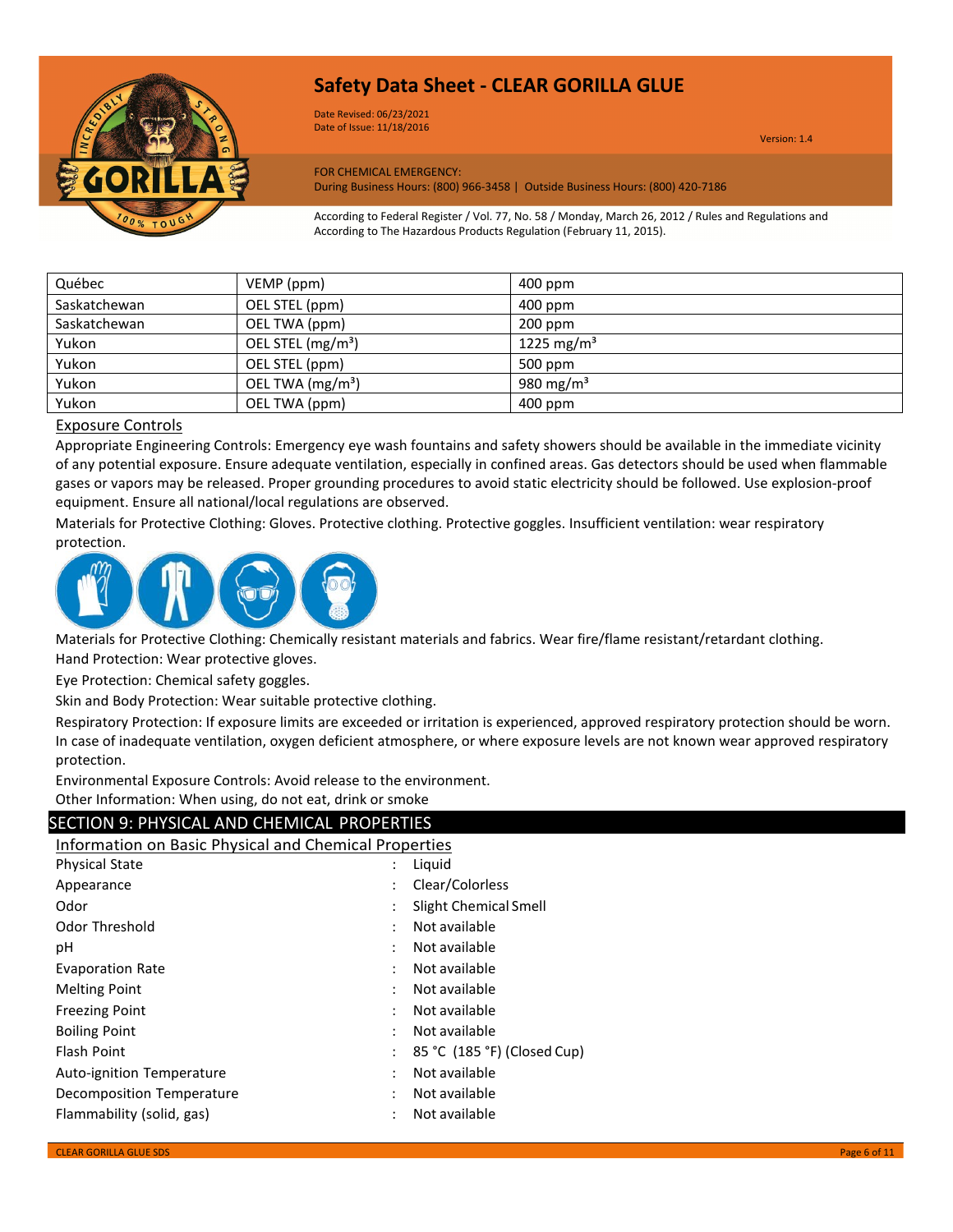

Date Revised: 06/23/2021 Date of Issue: 11/18/2016

Version: 1.4

FOR CHEMICAL EMERGENCY: During Business Hours: (800) 966-3458 | Outside Business Hours: (800) 420-7186

According to Federal Register / Vol. 77, No. 58 / Monday, March 26, 2012 / Rules and Regulations and According to The Hazardous Products Regulation (February 11, 2015).

| Québec       | VEMP (ppm)                    | 400 ppm                |
|--------------|-------------------------------|------------------------|
| Saskatchewan | OEL STEL (ppm)                | 400 ppm                |
| Saskatchewan | OEL TWA (ppm)                 | $200$ ppm              |
| Yukon        | OEL STEL (mg/m <sup>3</sup> ) | 1225 mg/m <sup>3</sup> |
| Yukon        | OEL STEL (ppm)                | 500 ppm                |
| Yukon        | OEL TWA (mg/m <sup>3</sup> )  | 980 mg/m <sup>3</sup>  |
| Yukon        | OEL TWA (ppm)                 | $400$ ppm              |

### Exposure Controls

Appropriate Engineering Controls: Emergency eye wash fountains and safety showers should be available in the immediate vicinity of any potential exposure. Ensure adequate ventilation, especially in confined areas. Gas detectors should be used when flammable gases or vapors may be released. Proper grounding procedures to avoid static electricity should be followed. Use explosion-proof equipment. Ensure all national/local regulations are observed.

Materials for Protective Clothing: Gloves. Protective clothing. Protective goggles. Insufficient ventilation: wear respiratory protection.



Materials for Protective Clothing: Chemically resistant materials and fabrics. Wear fire/flame resistant/retardant clothing. Hand Protection: Wear protective gloves.

Eye Protection: Chemical safety goggles.

Skin and Body Protection: Wear suitable protective clothing.

Respiratory Protection: If exposure limits are exceeded or irritation is experienced, approved respiratory protection should be worn. In case of inadequate ventilation, oxygen deficient atmosphere, or where exposure levels are not known wear approved respiratory protection.

Environmental Exposure Controls: Avoid release to the environment.

Other Information: When using, do not eat, drink or smoke

### SECTION 9: PHYSICAL AND CHEMICAL PROPERTIES

Information on Basic Physical and Chemical Properties

| <b>Physical State</b>     |   | Liguid                      |
|---------------------------|---|-----------------------------|
| Appearance                |   | Clear/Colorless             |
| Odor                      |   | Slight Chemical Smell       |
| Odor Threshold            | ٠ | Not available               |
| рH                        |   | Not available               |
| <b>Evaporation Rate</b>   |   | Not available               |
| <b>Melting Point</b>      |   | Not available               |
| <b>Freezing Point</b>     |   | Not available               |
| <b>Boiling Point</b>      |   | Not available               |
| <b>Flash Point</b>        |   | 85 °C (185 °F) (Closed Cup) |
| Auto-ignition Temperature | ٠ | Not available               |
| Decomposition Temperature | ٠ | Not available               |
| Flammability (solid, gas) |   | Not available               |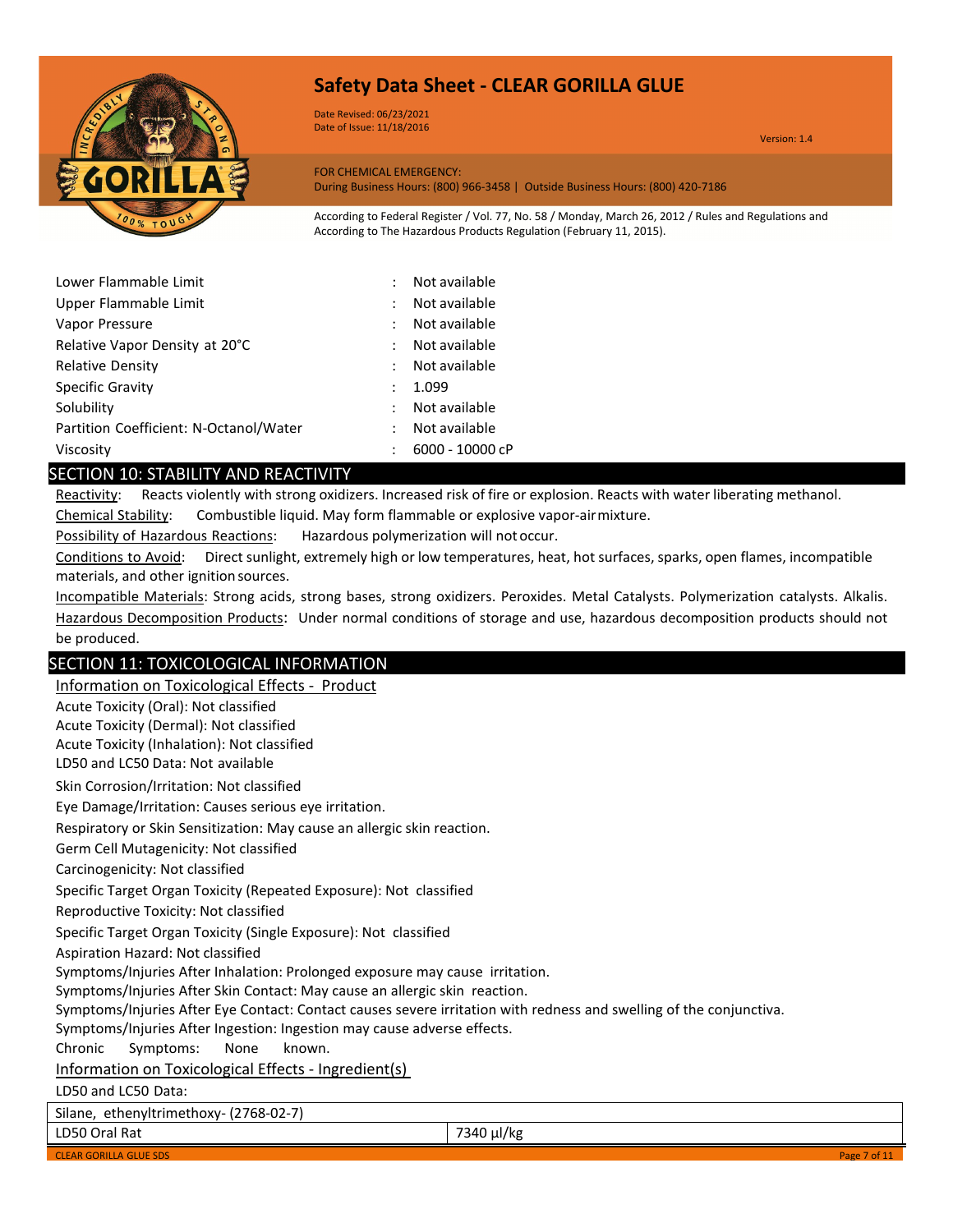

Date Revised: 06/23/2021 Date of Issue: 11/18/2016

Version: 1.4

FOR CHEMICAL EMERGENCY: During Business Hours: (800) 966-3458 | Outside Business Hours: (800) 420-7186

According to Federal Register / Vol. 77, No. 58 / Monday, March 26, 2012 / Rules and Regulations and According to The Hazardous Products Regulation (February 11, 2015).

| Lower Flammable Limit                  |   | Not available   |
|----------------------------------------|---|-----------------|
| Upper Flammable Limit                  |   | Not available   |
| Vapor Pressure                         |   | Not available   |
| Relative Vapor Density at 20°C         |   | Not available   |
| <b>Relative Density</b>                | ÷ | Not available   |
| Specific Gravity                       |   | 1.099           |
| Solubility                             |   | Not available   |
| Partition Coefficient: N-Octanol/Water |   | Not available   |
| Viscosity                              |   | 6000 - 10000 cP |

### SECTION 10: STABILITY AND REACTIVITY

Reactivity: Reacts violently with strong oxidizers. Increased risk of fire or explosion. Reacts with water liberating methanol.

Chemical Stability: Combustible liquid. May form flammable or explosive vapor-airmixture.

Possibility of Hazardous Reactions: Hazardous polymerization will notoccur.

Conditions to Avoid: Direct sunlight, extremely high or low temperatures, heat, hot surfaces, sparks, open flames, incompatible materials, and other ignition sources.

Incompatible Materials: Strong acids, strong bases, strong oxidizers. Peroxides. Metal Catalysts. Polymerization catalysts. Alkalis. Hazardous Decomposition Products: Under normal conditions of storage and use, hazardous decomposition products should not be produced.

### SECTION 11: TOXICOLOGICAL INFORMATION

Information on Toxicological Effects - Product Acute Toxicity (Oral): Not classified Acute Toxicity (Dermal): Not classified Acute Toxicity (Inhalation): Not classified LD50 and LC50 Data: Not available Skin Corrosion/Irritation: Not classified Eye Damage/Irritation: Causes serious eye irritation. Respiratory or Skin Sensitization: May cause an allergic skin reaction. Germ Cell Mutagenicity: Not classified Carcinogenicity: Not classified Specific Target Organ Toxicity (Repeated Exposure): Not classified Reproductive Toxicity: Not classified Specific Target Organ Toxicity (Single Exposure): Not classified Aspiration Hazard: Not classified Symptoms/Injuries After Inhalation: Prolonged exposure may cause irritation. Symptoms/Injuries After Skin Contact: May cause an allergic skin reaction. Symptoms/Injuries After Eye Contact: Contact causes severe irritation with redness and swelling of the conjunctiva. Symptoms/Injuries After Ingestion: Ingestion may cause adverse effects. Chronic Symptoms: None known. Information on Toxicological Effects - Ingredient(s) LD50 and LC50 Data: Silane, ethenyltrimethoxy- (2768-02-7) LD50 Oral Rat 7340 µl/kg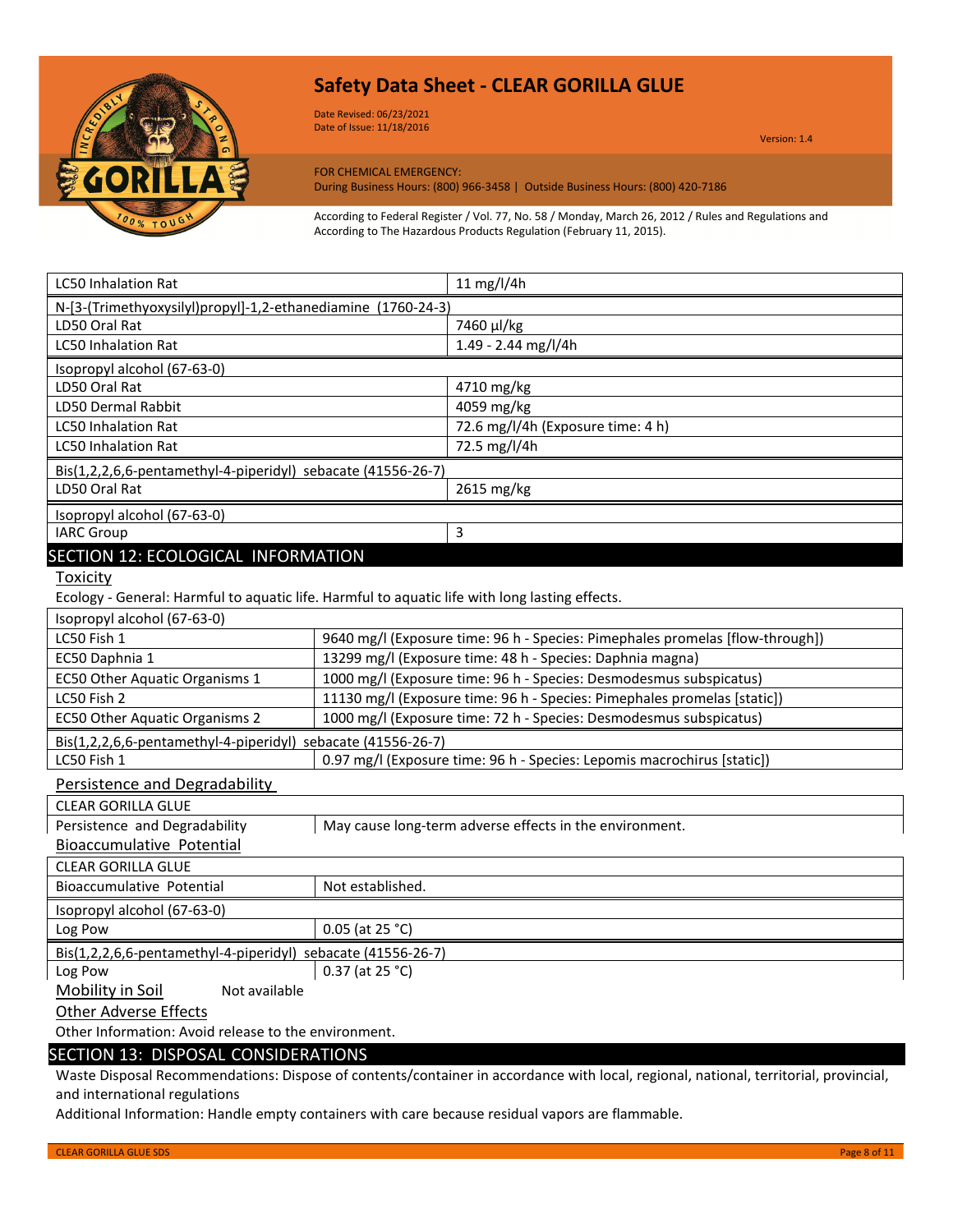

Date Revised: 06/23/2021 Date of Issue: 11/18/2016

Version: 1.4

FOR CHEMICAL EMERGENCY: During Business Hours: (800) 966-3458 | Outside Business Hours: (800) 420-7186

According to Federal Register / Vol. 77, No. 58 / Monday, March 26, 2012 / Rules and Regulations and According to The Hazardous Products Regulation (February 11, 2015).

| <b>LC50 Inhalation Rat</b>                                   | 11 mg/l/4h                        |
|--------------------------------------------------------------|-----------------------------------|
| N-[3-(Trimethyoxysilyl)propyl]-1,2-ethanediamine (1760-24-3) |                                   |
| LD50 Oral Rat                                                | 7460 µl/kg                        |
| <b>LC50 Inhalation Rat</b>                                   | $1.49 - 2.44$ mg/l/4h             |
| Isopropyl alcohol (67-63-0)                                  |                                   |
| LD50 Oral Rat                                                | 4710 mg/kg                        |
| <b>LD50 Dermal Rabbit</b>                                    | 4059 mg/kg                        |
| <b>LC50 Inhalation Rat</b>                                   | 72.6 mg/l/4h (Exposure time: 4 h) |
| <b>LC50 Inhalation Rat</b>                                   | 72.5 mg/l/4h                      |
| Bis(1,2,2,6,6-pentamethyl-4-piperidyl) sebacate (41556-26-7) |                                   |
| LD50 Oral Rat                                                | 2615 mg/kg                        |
| Isopropyl alcohol (67-63-0)                                  |                                   |
| <b>IARC Group</b>                                            | 3                                 |
| SECTION 12: ECOLOGICAL INFORMATION                           |                                   |

**Toxicity** 

Ecology - General: Harmful to aquatic life. Harmful to aquatic life with long lasting effects.

Persistence and Degradability

| <b>CLEAR GORILLA GLUE</b>                                    |                                                         |
|--------------------------------------------------------------|---------------------------------------------------------|
| Persistence and Degradability                                | May cause long-term adverse effects in the environment. |
| Bioaccumulative Potential                                    |                                                         |
| <b>CLEAR GORILLA GLUE</b>                                    |                                                         |
| Bioaccumulative Potential                                    | Not established.                                        |
| Isopropyl alcohol (67-63-0)                                  |                                                         |
| Log Pow                                                      | 0.05 (at 25 $°C$ )                                      |
| Bis(1,2,2,6,6-pentamethyl-4-piperidyl) sebacate (41556-26-7) |                                                         |
| Log Pow                                                      | $0.37$ (at 25 °C)                                       |
| Mobility in Soil<br>Not available                            |                                                         |

Other Adverse Effects

Other Information: Avoid release to the environment.

### SECTION 13: DISPOSAL CONSIDERATIONS

Waste Disposal Recommendations: Dispose of contents/container in accordance with local, regional, national, territorial, provincial, and international regulations

Additional Information: Handle empty containers with care because residual vapors are flammable.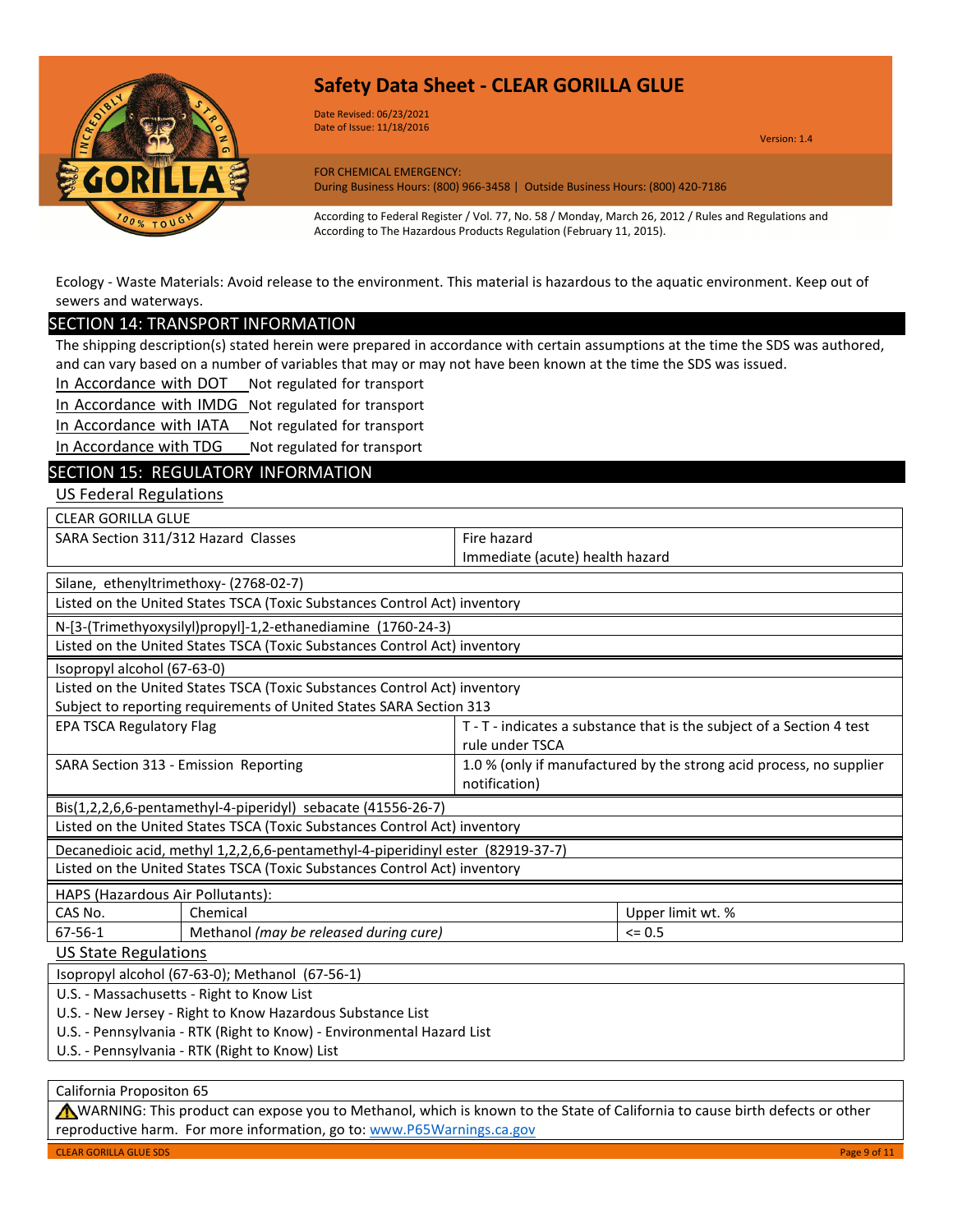

Date Revised: 06/23/2021 Date of Issue: 11/18/2016

Version: 1.4

FOR CHEMICAL EMERGENCY: During Business Hours: (800) 966-3458 | Outside Business Hours: (800) 420-7186

According to Federal Register / Vol. 77, No. 58 / Monday, March 26, 2012 / Rules and Regulations and According to The Hazardous Products Regulation (February 11, 2015).

Ecology - Waste Materials: Avoid release to the environment. This material is hazardous to the aquatic environment. Keep out of sewers and waterways.

### SECTION 14: TRANSPORT INFORMATION

The shipping description(s) stated herein were prepared in accordance with certain assumptions at the time the SDS was authored, and can vary based on a number of variables that may or may not have been known at the time the SDS was issued.

In Accordance with DOT Not regulated for transport

In Accordance with IMDG Not regulated for transport

In Accordance with IATA Not regulated for transport

In Accordance with TDG Not regulated for transport

### SECTION 15: REGULATORY INFORMATION

US Federal Regulations

| <b>CLEAR GORILLA GLUE</b>                                                                                               |                                                                       |  |
|-------------------------------------------------------------------------------------------------------------------------|-----------------------------------------------------------------------|--|
| SARA Section 311/312 Hazard Classes                                                                                     | Fire hazard                                                           |  |
|                                                                                                                         | Immediate (acute) health hazard                                       |  |
| Silane, ethenyltrimethoxy- (2768-02-7)                                                                                  |                                                                       |  |
| Listed on the United States TSCA (Toxic Substances Control Act) inventory                                               |                                                                       |  |
| N-[3-(Trimethyoxysilyl)propyl]-1,2-ethanediamine (1760-24-3)                                                            |                                                                       |  |
| Listed on the United States TSCA (Toxic Substances Control Act) inventory                                               |                                                                       |  |
| Isopropyl alcohol (67-63-0)                                                                                             |                                                                       |  |
| Listed on the United States TSCA (Toxic Substances Control Act) inventory                                               |                                                                       |  |
| Subject to reporting requirements of United States SARA Section 313                                                     |                                                                       |  |
| <b>EPA TSCA Regulatory Flag</b>                                                                                         | T - T - indicates a substance that is the subject of a Section 4 test |  |
| rule under TSCA                                                                                                         |                                                                       |  |
| 1.0 % (only if manufactured by the strong acid process, no supplier<br>SARA Section 313 - Emission Reporting            |                                                                       |  |
| notification)                                                                                                           |                                                                       |  |
| Bis(1,2,2,6,6-pentamethyl-4-piperidyl) sebacate (41556-26-7)                                                            |                                                                       |  |
| Listed on the United States TSCA (Toxic Substances Control Act) inventory                                               |                                                                       |  |
| Decanedioic acid, methyl 1,2,2,6,6-pentamethyl-4-piperidinyl ester (82919-37-7)                                         |                                                                       |  |
| Listed on the United States TSCA (Toxic Substances Control Act) inventory                                               |                                                                       |  |
| HAPS (Hazardous Air Pollutants):                                                                                        |                                                                       |  |
| Chemical<br>CAS No.                                                                                                     | Upper limit wt. %                                                     |  |
| Methanol (may be released during cure)<br>67-56-1                                                                       | $= 0.5$                                                               |  |
| US State Regulations                                                                                                    |                                                                       |  |
| Isopropyl alcohol (67-63-0); Methanol (67-56-1)                                                                         |                                                                       |  |
| U.S. - Massachusetts - Right to Know List                                                                               |                                                                       |  |
| U.S. - New Jersey - Right to Know Hazardous Substance List                                                              |                                                                       |  |
| U.S. - Pennsylvania - RTK (Right to Know) - Environmental Hazard List<br>U.S. - Pennsylvania - RTK (Right to Know) List |                                                                       |  |
|                                                                                                                         |                                                                       |  |

California Propositon 65

WARNING: This product can expose you to Methanol, which is known to the State of California to cause birth defects or other reproductive harm. For more information, go to[: www.P65Warnings.ca.gov](http://www.p65warnings.ca.gov/)

CLEAR GORILLA GLUE SDS Page 9 of 11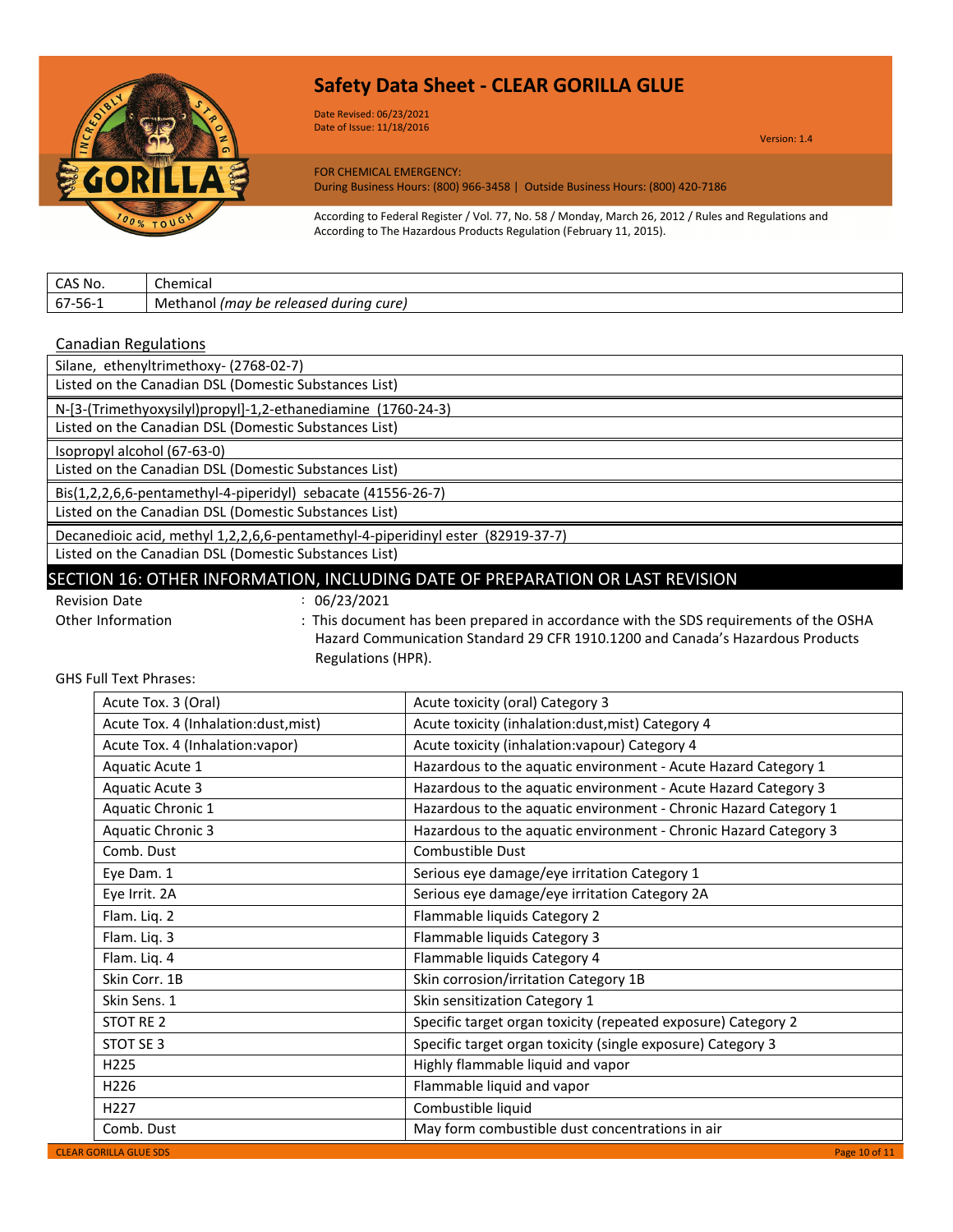

Date Revised: 06/23/2021 Date of Issue: 11/18/2016

Version: 1.4

FOR CHEMICAL EMERGENCY: During Business Hours: (800) 966-3458 | Outside Business Hours: (800) 420-7186

According to Federal Register / Vol. 77, No. 58 / Monday, March 26, 2012 / Rules and Regulations and According to The Hazardous Products Regulation (February 11, 2015).

| CAS No.     | Chemical                                          |
|-------------|---------------------------------------------------|
| -56-1<br>b/ | Methanol (may<br>cure.<br>released durina i<br>be |

#### Canadian Regulations

| Silane, ethenyltrimethoxy- (2768-02-7)                                                                                                                                                                                                                                                                                                              |
|-----------------------------------------------------------------------------------------------------------------------------------------------------------------------------------------------------------------------------------------------------------------------------------------------------------------------------------------------------|
| Listed on the Canadian DSL (Domestic Substances List)                                                                                                                                                                                                                                                                                               |
| N-[3-(Trimethyoxysilyl)propyl]-1,2-ethanediamine (1760-24-3)                                                                                                                                                                                                                                                                                        |
| Listed on the Canadian DSL (Domestic Substances List)                                                                                                                                                                                                                                                                                               |
| Isopropyl alcohol (67-63-0)                                                                                                                                                                                                                                                                                                                         |
| Listed on the Canadian DSL (Domestic Substances List)                                                                                                                                                                                                                                                                                               |
| Bis(1,2,2,6,6-pentamethyl-4-piperidyl) sebacate (41556-26-7)                                                                                                                                                                                                                                                                                        |
| Listed on the Canadian DSL (Domestic Substances List)                                                                                                                                                                                                                                                                                               |
| Decanedioic acid, methyl 1,2,2,6,6-pentamethyl-4-piperidinyl ester (82919-37-7)                                                                                                                                                                                                                                                                     |
| Listed on the Canadian DSL (Domestic Substances List)                                                                                                                                                                                                                                                                                               |
| $C \subset C$ , and $C \subset C$ , and $C \subset C$ , and $C \subset C$ , and $C \subset C$ , and $C \subset C$ , and $C \subset C$ , and $C \subset C$ , and $C \subset C$ , and $C \subset C$ , and $C \subset C$ , and $C \subset C$ , and $C \subset C$ , and $C \subset C$ , and $C \subset C$ , and $C \subset C$ , and $C \subset C$ , and |

### SECTION 16: OTHER INFORMATION, INCLUDING DATE OF PREPARATION OR LAST REVISION

Revision Date : 06/23/2021

Other Information : This document has been prepared in accordance with the SDS requirements of the OSHA Hazard Communication Standard 29 CFR 1910.1200 and Canada's Hazardous Products Regulations (HPR).

GHS Full Text Phrases:

| Acute Tox. 3 (Oral)                  | Acute toxicity (oral) Category 3                                 |
|--------------------------------------|------------------------------------------------------------------|
| Acute Tox. 4 (Inhalation:dust, mist) | Acute toxicity (inhalation:dust, mist) Category 4                |
| Acute Tox. 4 (Inhalation:vapor)      | Acute toxicity (inhalation: vapour) Category 4                   |
| Aquatic Acute 1                      | Hazardous to the aquatic environment - Acute Hazard Category 1   |
| <b>Aquatic Acute 3</b>               | Hazardous to the aquatic environment - Acute Hazard Category 3   |
| Aquatic Chronic 1                    | Hazardous to the aquatic environment - Chronic Hazard Category 1 |
| <b>Aquatic Chronic 3</b>             | Hazardous to the aquatic environment - Chronic Hazard Category 3 |
| Comb. Dust                           | Combustible Dust                                                 |
| Eye Dam. 1                           | Serious eye damage/eye irritation Category 1                     |
| Eye Irrit. 2A                        | Serious eye damage/eye irritation Category 2A                    |
| Flam. Liq. 2                         | Flammable liquids Category 2                                     |
| Flam. Liq. 3                         | Flammable liquids Category 3                                     |
| Flam. Liq. 4                         | Flammable liquids Category 4                                     |
| Skin Corr. 1B                        | Skin corrosion/irritation Category 1B                            |
| Skin Sens. 1                         | Skin sensitization Category 1                                    |
| STOT RE 2                            | Specific target organ toxicity (repeated exposure) Category 2    |
| STOT SE 3                            | Specific target organ toxicity (single exposure) Category 3      |
| H225                                 | Highly flammable liquid and vapor                                |
| H <sub>226</sub>                     | Flammable liquid and vapor                                       |
| H <sub>227</sub>                     | Combustible liquid                                               |
| Comb. Dust                           | May form combustible dust concentrations in air                  |
| <b>CLEAR GORILLA GLUE SDS</b>        | Page 10 of 11                                                    |